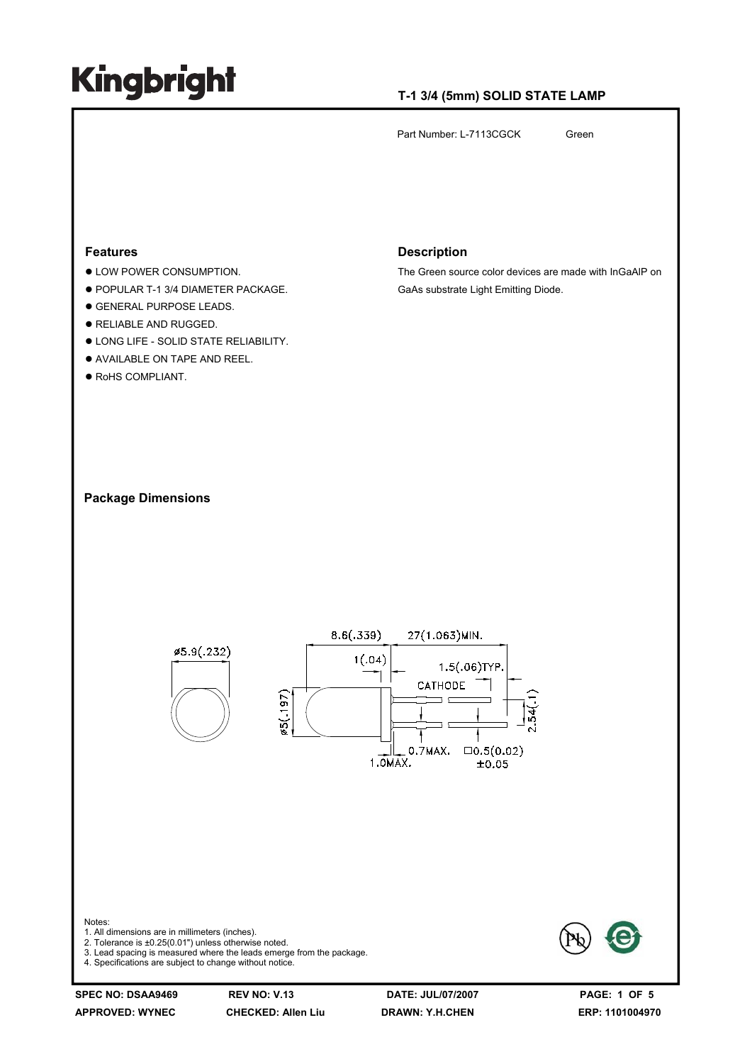### **T-1 3/4 (5mm) SOLID STATE LAMP**

Part Number: L-7113CGCK Green

#### **Features**

- $\bullet$  LOW POWER CONSUMPTION.
- POPULAR T-1 3/4 DIAMETER PACKAGE.
- $\bullet$  **GENERAL PURPOSE LEADS.**
- **RELIABLE AND RUGGED.**
- $\bullet$  LONG LIFE SOLID STATE RELIABILITY.
- $\bullet$  AVAILABLE ON TAPE AND REEL.
- $\bullet$  RoHS COMPLIANT.

#### **Description**

The Green source color devices are made with InGaAlP on GaAs substrate Light Emitting Diode.

**Package Dimensions**



**APPROVED: WYNEC CHECKED: Allen Liu DRAWN: Y.H.CHEN ERP: 1101004970**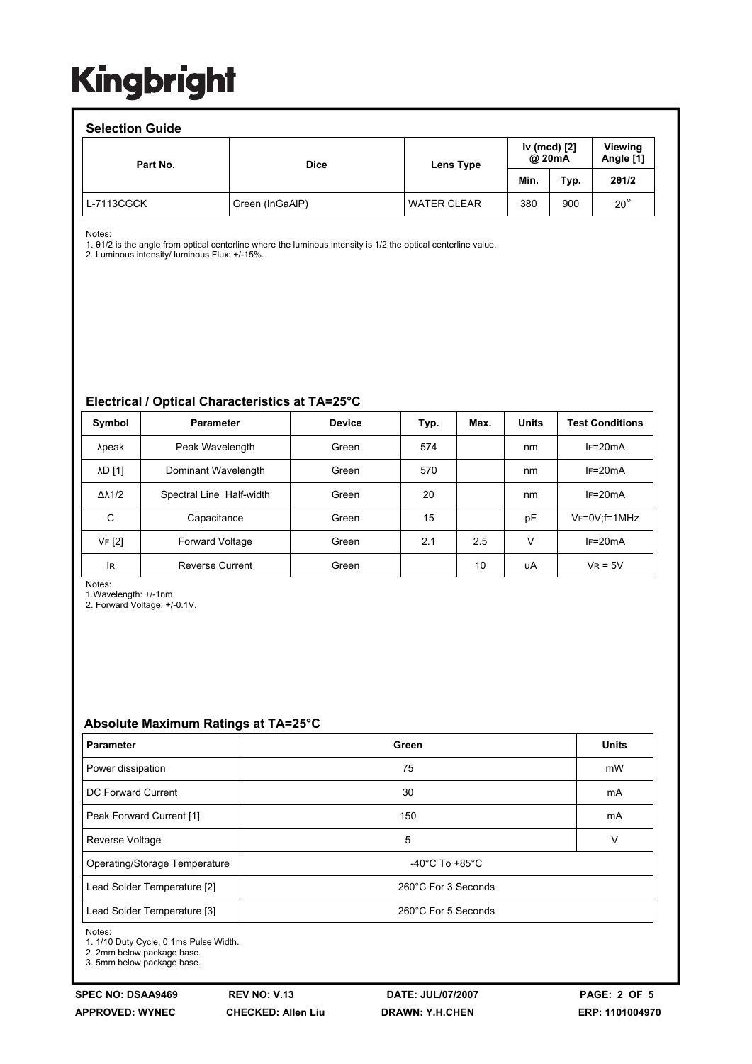#### **Selection Guide**

| <b>OCICULIUII UUIUU</b><br>Part No. | <b>Dice</b>     | Lens Type          | Iv (mcd) [2]<br>@ 20mA |      | Viewing<br>Angle [1] |  |
|-------------------------------------|-----------------|--------------------|------------------------|------|----------------------|--|
|                                     |                 |                    | Min.                   | Typ. | 201/2                |  |
| <b>L-7113CGCK</b>                   | Green (InGaAIP) | <b>WATER CLEAR</b> | 380                    | 900  | $20^{\circ}$         |  |

Notes:

1. θ1/2 is the angle from optical centerline where the luminous intensity is 1/2 the optical centerline value.

2. Luminous intensity/ luminous Flux: +/-15%.

### **Electrical / Optical Characteristics at TA=25°C**

| Symbol              | <b>Parameter</b>         | <b>Device</b> | Typ. | Max. | <b>Units</b> | <b>Test Conditions</b> |
|---------------------|--------------------------|---------------|------|------|--------------|------------------------|
| λpeak               | Peak Wavelength          | Green         | 574  |      | nm           | $IF=20mA$              |
| <b>AD [1]</b>       | Dominant Wavelength      | Green         | 570  |      | nm           | $IF=20mA$              |
| $\Delta\lambda$ 1/2 | Spectral Line Half-width | Green         | 20   |      | nm           | $IF=20mA$              |
| C                   | Capacitance              | Green         | 15   |      | pF           | $V_F = 0V$ ; f=1MHz    |
| VF [2]              | Forward Voltage          | Green         | 2.1  | 2.5  | V            | $IF=20mA$              |
| lR.                 | <b>Reverse Current</b>   | Green         |      | 10   | uA           | $V_R = 5V$             |

Notes:

1.Wavelength: +/-1nm. 2. Forward Voltage: +/-0.1V.

### **Absolute Maximum Ratings at TA=25°C**

| <b>Parameter</b>              | Green                              | <b>Units</b> |  |  |
|-------------------------------|------------------------------------|--------------|--|--|
| Power dissipation             | 75                                 | mW           |  |  |
| DC Forward Current            | 30                                 | mA           |  |  |
| Peak Forward Current [1]      | 150                                | mA           |  |  |
| Reverse Voltage               | 5                                  | v            |  |  |
| Operating/Storage Temperature | $-40^{\circ}$ C To $+85^{\circ}$ C |              |  |  |
| Lead Solder Temperature [2]   | 260°C For 3 Seconds                |              |  |  |
| Lead Solder Temperature [3]   | 260°C For 5 Seconds                |              |  |  |

Notes:

1. 1/10 Duty Cycle, 0.1ms Pulse Width.

2. 2mm below package base.

3. 5mm below package base.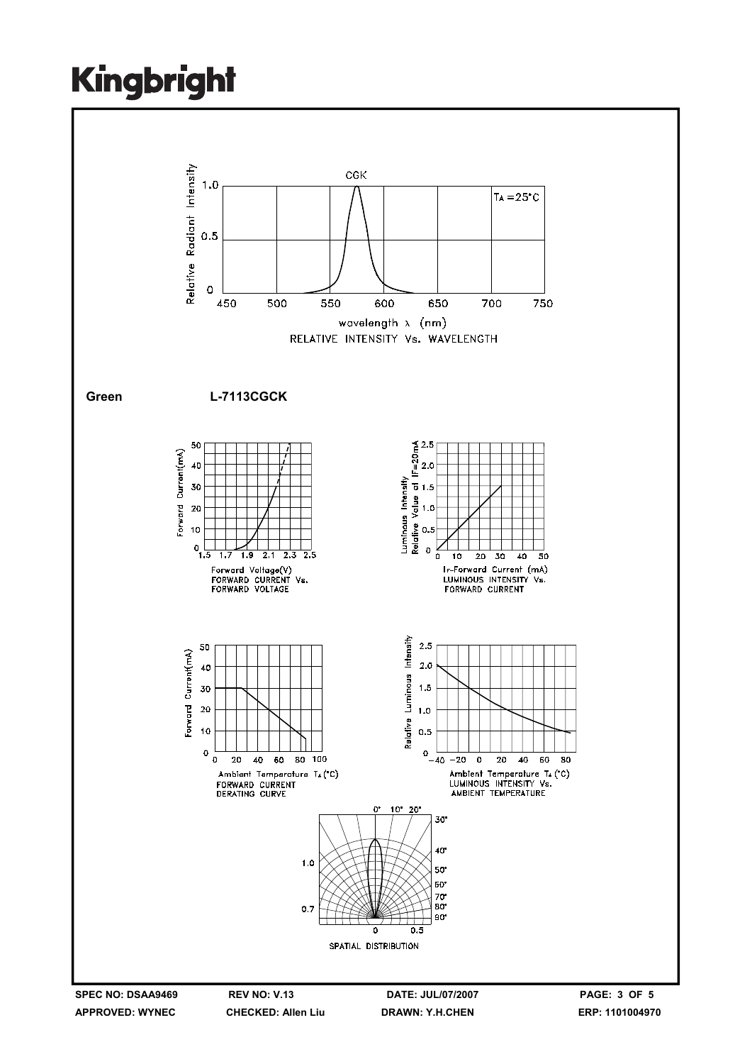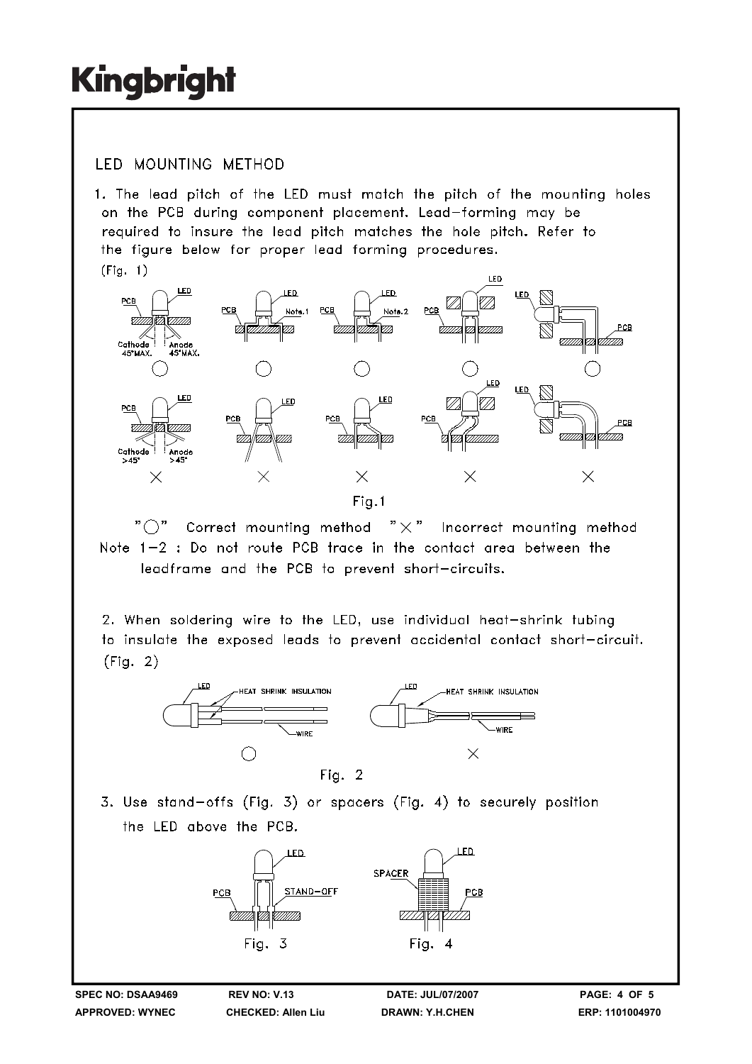### **IFD MOUNTING METHOD**

1. The lead pitch of the LED must match the pitch of the mounting holes on the PCB during component placement. Lead-forming may be required to insure the lead pitch matches the hole pitch. Refer to the figure below for proper lead forming procedures.  $(Fiq. 1)$ 



" ( )" Correct mounting method  $" \times"$  Incorrect mounting method Note 1-2 : Do not route PCB trace in the contact area between the leadframe and the PCB to prevent short-circuits.

2. When soldering wire to the LED, use individual heat-shrink tubing to insulate the exposed leads to prevent accidental contact short-circuit.  $(Fiq. 2)$ 



3. Use stand-offs (Fig. 3) or spacers (Fig. 4) to securely position the LED above the PCB.